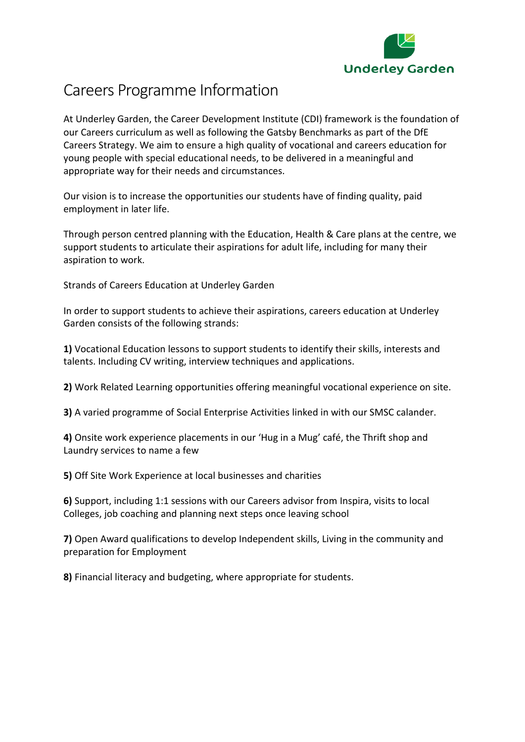

# Careers Programme Information

At Underley Garden, the Career Development Institute (CDI) framework is the foundation of our Careers curriculum as well as following the Gatsby Benchmarks as part of the DfE Careers Strategy. We aim to ensure a high quality of vocational and careers education for young people with special educational needs, to be delivered in a meaningful and appropriate way for their needs and circumstances.

Our vision is to increase the opportunities our students have of finding quality, paid employment in later life.

Through person centred planning with the Education, Health & Care plans at the centre, we support students to articulate their aspirations for adult life, including for many their aspiration to work.

Strands of Careers Education at Underley Garden

In order to support students to achieve their aspirations, careers education at Underley Garden consists of the following strands:

**1)** Vocational Education lessons to support students to identify their skills, interests and talents. Including CV writing, interview techniques and applications.

**2)** Work Related Learning opportunities offering meaningful vocational experience on site.

**3)** A varied programme of Social Enterprise Activities linked in with our SMSC calander.

**4)** Onsite work experience placements in our 'Hug in a Mug' café, the Thrift shop and Laundry services to name a few

**5)** Off Site Work Experience at local businesses and charities

**6)** Support, including 1:1 sessions with our Careers advisor from Inspira, visits to local Colleges, job coaching and planning next steps once leaving school

**7)** Open Award qualifications to develop Independent skills, Living in the community and preparation for Employment

**8)** Financial literacy and budgeting, where appropriate for students.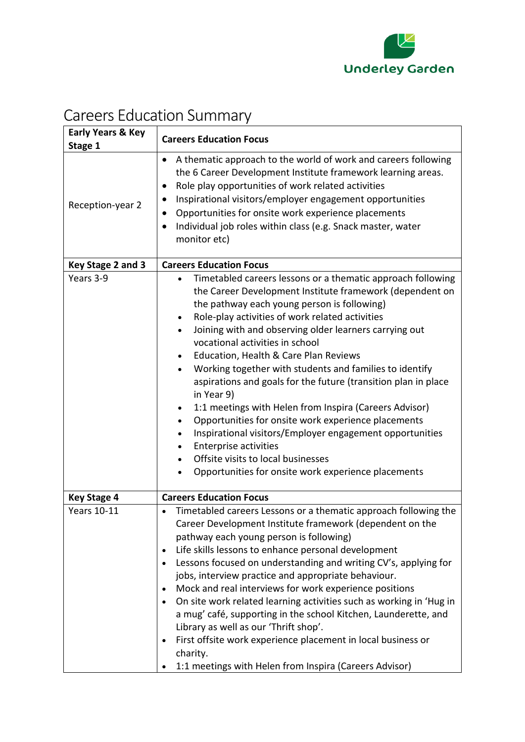

# Careers Education Summary

| <b>Early Years &amp; Key</b><br>Stage 1 | <b>Careers Education Focus</b>                                                                                                                                                                                                                                                                                                                                                                                                                                                                                                                                                                                                                                                                                                                                                                                                                                                                                               |
|-----------------------------------------|------------------------------------------------------------------------------------------------------------------------------------------------------------------------------------------------------------------------------------------------------------------------------------------------------------------------------------------------------------------------------------------------------------------------------------------------------------------------------------------------------------------------------------------------------------------------------------------------------------------------------------------------------------------------------------------------------------------------------------------------------------------------------------------------------------------------------------------------------------------------------------------------------------------------------|
| Reception-year 2                        | A thematic approach to the world of work and careers following<br>$\bullet$<br>the 6 Career Development Institute framework learning areas.<br>Role play opportunities of work related activities<br>$\bullet$<br>Inspirational visitors/employer engagement opportunities<br>$\bullet$<br>Opportunities for onsite work experience placements<br>Individual job roles within class (e.g. Snack master, water<br>monitor etc)                                                                                                                                                                                                                                                                                                                                                                                                                                                                                                |
| Key Stage 2 and 3                       | <b>Careers Education Focus</b>                                                                                                                                                                                                                                                                                                                                                                                                                                                                                                                                                                                                                                                                                                                                                                                                                                                                                               |
| Years 3-9                               | Timetabled careers lessons or a thematic approach following<br>$\bullet$<br>the Career Development Institute framework (dependent on<br>the pathway each young person is following)<br>Role-play activities of work related activities<br>$\bullet$<br>Joining with and observing older learners carrying out<br>$\bullet$<br>vocational activities in school<br>Education, Health & Care Plan Reviews<br>Working together with students and families to identify<br>$\bullet$<br>aspirations and goals for the future (transition plan in place<br>in Year 9)<br>1:1 meetings with Helen from Inspira (Careers Advisor)<br>$\bullet$<br>Opportunities for onsite work experience placements<br>$\bullet$<br>Inspirational visitors/Employer engagement opportunities<br>$\bullet$<br><b>Enterprise activities</b><br>Offsite visits to local businesses<br>$\bullet$<br>Opportunities for onsite work experience placements |
| <b>Key Stage 4</b>                      | <b>Careers Education Focus</b>                                                                                                                                                                                                                                                                                                                                                                                                                                                                                                                                                                                                                                                                                                                                                                                                                                                                                               |
| <b>Years 10-11</b>                      | Timetabled careers Lessons or a thematic approach following the<br>Career Development Institute framework (dependent on the<br>pathway each young person is following)<br>Life skills lessons to enhance personal development<br>Lessons focused on understanding and writing CV's, applying for<br>jobs, interview practice and appropriate behaviour.<br>Mock and real interviews for work experience positions<br>On site work related learning activities such as working in 'Hug in<br>a mug' café, supporting in the school Kitchen, Launderette, and<br>Library as well as our 'Thrift shop'.<br>First offsite work experience placement in local business or<br>charity.<br>1:1 meetings with Helen from Inspira (Careers Advisor)                                                                                                                                                                                   |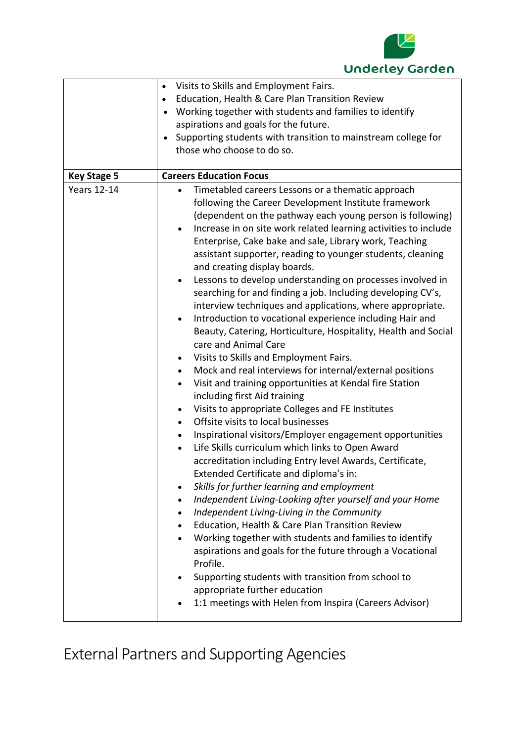

|                    | Visits to Skills and Employment Fairs.<br>$\bullet$                        |
|--------------------|----------------------------------------------------------------------------|
|                    | Education, Health & Care Plan Transition Review<br>$\bullet$               |
|                    | Working together with students and families to identify                    |
|                    | aspirations and goals for the future.                                      |
|                    | Supporting students with transition to mainstream college for<br>$\bullet$ |
|                    | those who choose to do so.                                                 |
|                    |                                                                            |
| <b>Key Stage 5</b> | <b>Careers Education Focus</b>                                             |
| <b>Years 12-14</b> | Timetabled careers Lessons or a thematic approach<br>$\bullet$             |
|                    | following the Career Development Institute framework                       |
|                    | (dependent on the pathway each young person is following)                  |
|                    | Increase in on site work related learning activities to include            |
|                    | Enterprise, Cake bake and sale, Library work, Teaching                     |
|                    | assistant supporter, reading to younger students, cleaning                 |
|                    | and creating display boards.                                               |
|                    | Lessons to develop understanding on processes involved in<br>$\bullet$     |
|                    | searching for and finding a job. Including developing CV's,                |
|                    | interview techniques and applications, where appropriate.                  |
|                    | Introduction to vocational experience including Hair and<br>$\bullet$      |
|                    | Beauty, Catering, Horticulture, Hospitality, Health and Social             |
|                    | care and Animal Care                                                       |
|                    |                                                                            |
|                    | Visits to Skills and Employment Fairs.                                     |
|                    | Mock and real interviews for internal/external positions<br>$\bullet$      |
|                    | Visit and training opportunities at Kendal fire Station<br>$\bullet$       |
|                    | including first Aid training                                               |
|                    | Visits to appropriate Colleges and FE Institutes<br>$\bullet$              |
|                    | Offsite visits to local businesses<br>$\bullet$                            |
|                    | Inspirational visitors/Employer engagement opportunities<br>$\bullet$      |
|                    | Life Skills curriculum which links to Open Award<br>$\bullet$              |
|                    | accreditation including Entry level Awards, Certificate,                   |
|                    | Extended Certificate and diploma's in:                                     |
|                    | Skills for further learning and employment                                 |
|                    | Independent Living-Looking after yourself and your Home<br>$\bullet$       |
|                    | Independent Living-Living in the Community<br>$\bullet$                    |
|                    | Education, Health & Care Plan Transition Review<br>$\bullet$               |
|                    | Working together with students and families to identify<br>$\bullet$       |
|                    | aspirations and goals for the future through a Vocational                  |
|                    | Profile.                                                                   |
|                    | Supporting students with transition from school to                         |
|                    | appropriate further education                                              |
|                    | 1:1 meetings with Helen from Inspira (Careers Advisor)                     |
|                    |                                                                            |

External Partners and Supporting Agencies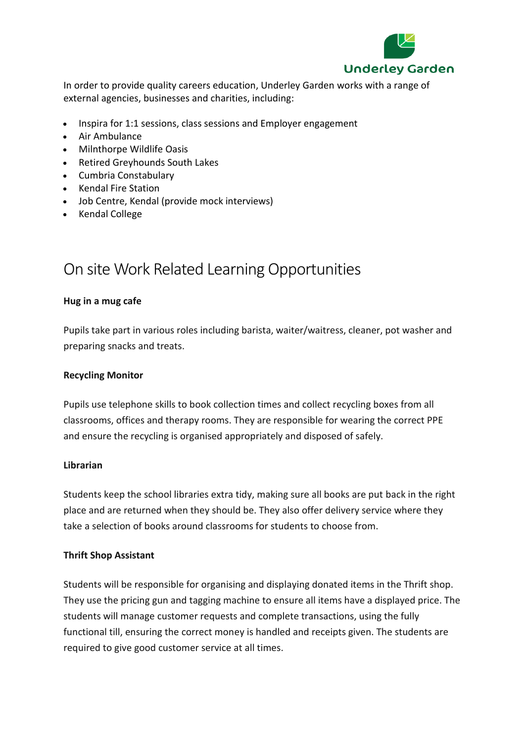

In order to provide quality careers education, Underley Garden works with a range of external agencies, businesses and charities, including:

- Inspira for 1:1 sessions, class sessions and Employer engagement
- Air Ambulance
- Milnthorpe Wildlife Oasis
- Retired Greyhounds South Lakes
- Cumbria Constabulary
- Kendal Fire Station
- Job Centre, Kendal (provide mock interviews)
- Kendal College

# On site Work Related Learning Opportunities

### **Hug in a mug cafe**

Pupils take part in various roles including barista, waiter/waitress, cleaner, pot washer and preparing snacks and treats.

# **Recycling Monitor**

Pupils use telephone skills to book collection times and collect recycling boxes from all classrooms, offices and therapy rooms. They are responsible for wearing the correct PPE and ensure the recycling is organised appropriately and disposed of safely.

#### **Librarian**

Students keep the school libraries extra tidy, making sure all books are put back in the right place and are returned when they should be. They also offer delivery service where they take a selection of books around classrooms for students to choose from.

# **Thrift Shop Assistant**

Students will be responsible for organising and displaying donated items in the Thrift shop. They use the pricing gun and tagging machine to ensure all items have a displayed price. The students will manage customer requests and complete transactions, using the fully functional till, ensuring the correct money is handled and receipts given. The students are required to give good customer service at all times.